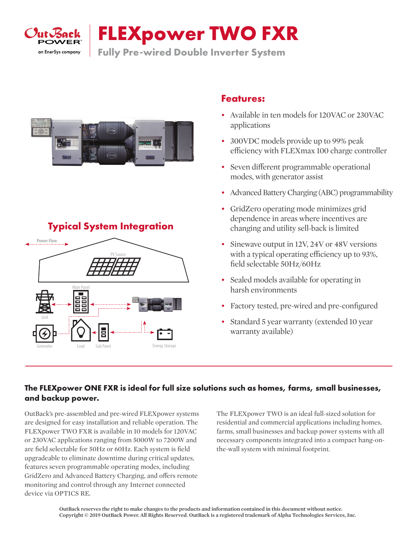

# **FLEXpower TWO FXR**

**Fully Pre-wired Double Inverter System**



### **Typical System Integration**



#### **Features:**

- Available in ten models for 120VAC or 230VAC applications
- 300VDC models provide up to 99% peak efficiency with FLEXmax 100 charge controller
- Seven different programmable operational modes, with generator assist
- Advanced Battery Charging (ABC) programmability
- GridZero operating mode minimizes grid dependence in areas where incentives are changing and utility sell-back is limited
- Sinewave output in 12V, 24V or 48V versions with a typical operating efficiency up to 93%, field selectable 50Hz/60Hz
- Sealed models available for operating in harsh environments
- Factory tested, pre-wired and pre-configured
- Standard 5 year warranty (extended 10 year warranty available)

#### **The FLEXpower ONE FXR is ideal for full size solutions such as homes, farms, small businesses, and backup power.**

OutBack's pre-assembled and pre-wired FLEXpower systems are designed for easy installation and reliable operation. The FLEXpower TWO FXR is available in 10 models for 120VAC or 230VAC applications ranging from 5000W to 7200W and are field selectable for 50Hz or 60Hz. Each system is field upgradeable to eliminate downtime during critical updates, features seven programmable operating modes, including GridZero and Advanced Battery Charging, and offers remote monitoring and control through any Internet connected device via OPTICS RE.

The FLEXpower TWO is an ideal full-sized solution for residential and commercial applications including homes, farms, small businesses and backup power systems with all necessary components integrated into a compact hang-onthe-wall system with minimal footprint.